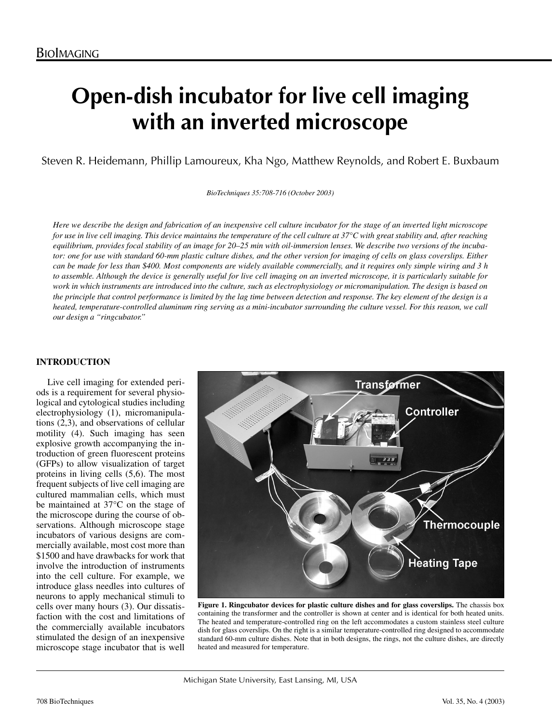# **Open-dish incubator for live cell imaging with an inverted microscope**

Steven R. Heidemann, Phillip Lamoureux, Kha Ngo, Matthew Reynolds, and Robert E. Buxbaum

*BioTechniques 35:708-716 (October 2003)*

*Here we describe the design and fabrication of an inexpensive cell culture incubator for the stage of an inverted light microscope for use in live cell imaging. This device maintains the temperature of the cell culture at 37°C with great stability and, after reaching equilibrium, provides focal stability of an image for 20–25 min with oil-immersion lenses. We describe two versions of the incubator: one for use with standard 60-mm plastic culture dishes, and the other version for imaging of cells on glass coverslips. Either can be made for less than \$400. Most components are widely available commercially, and it requires only simple wiring and 3 h to assemble. Although the device is generally useful for live cell imaging on an inverted microscope, it is particularly suitable for work in which instruments are introduced into the culture, such as electrophysiology or micromanipulation. The design is based on the principle that control performance is limited by the lag time between detection and response. The key element of the design is a heated, temperature-controlled aluminum ring serving as a mini-incubator surrounding the culture vessel. For this reason, we call our design a "ringcubator."* 

# **INTRODUCTION**

Live cell imaging for extended periods is a requirement for several physiological and cytological studies including electrophysiology (1), micromanipulations (2,3), and observations of cellular motility (4). Such imaging has seen explosive growth accompanying the introduction of green fluorescent proteins (GFPs) to allow visualization of target proteins in living cells (5,6). The most frequent subjects of live cell imaging are cultured mammalian cells, which must be maintained at 37°C on the stage of the microscope during the course of observations. Although microscope stage incubators of various designs are commercially available, most cost more than \$1500 and have drawbacks for work that involve the introduction of instruments into the cell culture. For example, we introduce glass needles into cultures of neurons to apply mechanical stimuli to cells over many hours (3). Our dissatisfaction with the cost and limitations of the commercially available incubators stimulated the design of an inexpensive microscope stage incubator that is well



**Figure 1. Ringcubator devices for plastic culture dishes and for glass coverslips.** The chassis box containing the transformer and the controller is shown at center and is identical for both heated units. The heated and temperature-controlled ring on the left accommodates a custom stainless steel culture dish for glass coverslips. On the right is a similar temperature-controlled ring designed to accommodate standard 60-mm culture dishes. Note that in both designs, the rings, not the culture dishes, are directly heated and measured for temperature.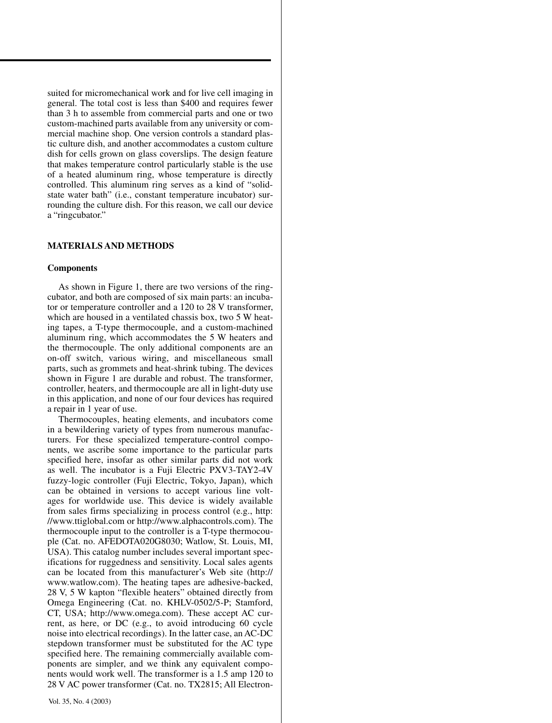suited for micromechanical work and for live cell imaging in general. The total cost is less than \$400 and requires fewer than 3 h to assemble from commercial parts and one or two custom-machined parts available from any university or com mercial machine shop. One version controls a standard plas tic culture dish, and another accommodates a custom culture dish for cells grown on glass coverslips. The design feature that makes temperature control particularly stable is the use of a heated aluminum ring, whose temperature is directly controlled. This aluminum ring serves as a kind of "solidstate water bath" (i.e., constant temperature incubator) surrounding the culture dish. For this reason, we call our device a "ringcubator."

# **MATERIALS AND METHODS**

#### **Components**

As shown in Figure 1, there are two versions of the ring cubator, and both are composed of six main parts: an incuba tor or temperature controller and a 120 to 28 V transformer, which are housed in a ventilated chassis box, two 5 W heating tapes, a T-type thermocouple, and a custom-machined aluminum ring, which accommodates the 5 W heaters and the thermocouple. The only additional components are an on-off switch, various wiring, and miscellaneous small parts, such as grommets and heat-shrink tubing. The devices shown in Figure 1 are durable and robust. The transformer, controller, heaters, and thermocouple are all in light-duty use in this application, and none of our four devices has required a repair in 1 year of use.

Thermocouples, heating elements, and incubators come in a bewildering variety of types from numerous manufac turers. For these specialized temperature-control compo nents, we ascribe some importance to the particular parts specified here, insofar as other similar parts did not work as well. The incubator is a Fuji Electric PXV3-TAY2-4V fuzzy-logic controller (Fuji Electric, Tokyo, Japan), which can be obtained in versions to accept various line volt ages for worldwide use. This device is widely available from sales firms specializing in process control (e.g., http: //www.ttiglobal.com or http://www.alphacontrols.com). The thermocouple input to the controller is a T-type thermocou ple (Cat. no. AFEDOTA020G8030; Watlow, St. Louis, MI, USA). This catalog number includes several important spec ifications for ruggedness and sensitivity. Local sales agents can be located from this manufacturer's Web site (http:// www.watlow.com). The heating tapes are adhesive-backed, 28 V, 5 W kapton "flexible heaters" obtained directly from Omega Engineering (Cat. no. KHLV-0502/5-P; Stamford, CT, USA; http://www.omega.com). These accept AC cur rent, as here, or DC (e.g., to avoid introducing 60 cycle noise into electrical recordings). In the latter case, an AC-DC stepdown transformer must be substituted for the AC type specified here. The remaining commercially available components are simpler, and we think any equivalent compo nents would work well. The transformer is a 1.5 amp 120 to 28 V AC power transformer (Cat. no. TX2815; All Electron -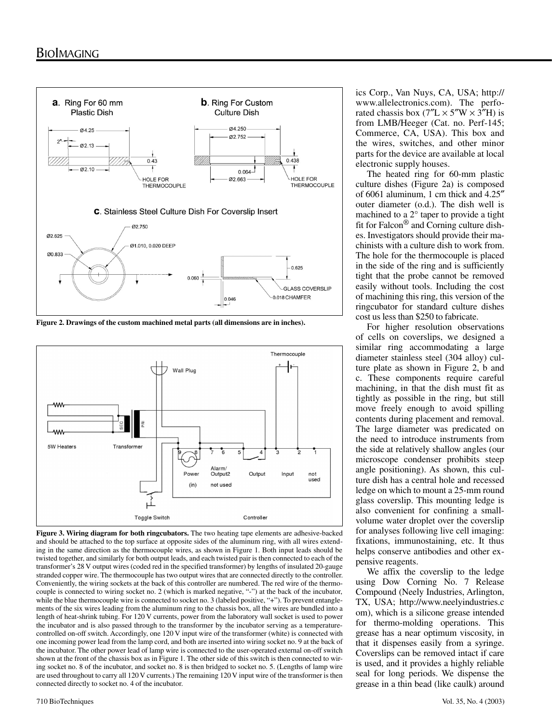

**Figure 2. Drawings of the custom machined metal parts (all dimensions are in inches).** 



**Figure 3. Wiring diagram for both ringcubators.** The two heating tape elements are adhesive-backed and should be attached to the top surface at opposite sides of the aluminum ring, with all wires extending in the same direction as the thermocouple wires, as shown in Figure 1. Both input leads should be twisted together, and similarly for both output leads, and each twisted pair is then connected to each of the transformer's 28 V output wires (coded red in the specified transformer) by lengths of insulated 20-gauge stranded copper wire. The thermocouple has two output wires that are connected directly to the controller. Conveniently, the wiring sockets at the back of this controller are numbered. The red wire of the thermocouple is connected to wiring socket no. 2 (which is marked negative, "-") at the back of the incubator, while the blue thermocouple wire is connected to socket no. 3 (labeled positive, "+"). To prevent entanglements of the six wires leading from the aluminum ring to the chassis box, all the wires are bundled into a length of heat-shrink tubing. For 120 V currents, power from the laboratory wall socket is used to power the incubator and is also passed through to the transformer by the incubator serving as a temperaturecontrolled on-off switch. Accordingly, one 120 V input wire of the transformer (white) is connected with one incoming power lead from the lamp cord, and both are inserted into wiring socket no. 9 at the back of the incubator. The other power lead of lamp wire is connected to the user-operated external on-off switch shown at the front of the chassis box as in Figure 1. The other side of this switch is then connected to wiring socket no. 8 of the incubator, and socket no. 8 is then bridged to socket no. 5. (Lengths of lamp wire are used throughout to carry all 120 V currents.) The remaining 120 V input wire of the transformer is then connected directly to socket no. 4 of the incubator.

ics Corp., Van Nuys, CA, USA; http:// www.allelectronics.com). The perforated chassis box  $(7''L \times 5''W \times 3''H)$  is from LMB/Heeger (Cat. no. Perf-145; Commerce, CA, USA). This box and the wires, switches, and other minor parts for the device are available at local electronic supply houses.

The heated ring for 60-mm plastic culture dishes (Figure 2a) is composed of 6061 aluminum, 1 cm thick and 4.25″ outer diameter (o.d.). The dish well is machined to a 2° taper to provide a tight fit for Falcon® and Corning culture dishes. Investigators should provide their machinists with a culture dish to work from. The hole for the thermocouple is placed in the side of the ring and is sufficiently tight that the probe cannot be removed easily without tools. Including the cost of machining this ring, this version of the ringcubator for standard culture dishes cost us less than \$250 to fabricate.

For higher resolution observations of cells on coverslips, we designed a similar ring accommodating a large diameter stainless steel (304 alloy) culture plate as shown in Figure 2, b and c. These components require careful machining, in that the dish must fit as tightly as possible in the ring, but still move freely enough to avoid spilling contents during placement and removal. The large diameter was predicated on the need to introduce instruments from the side at relatively shallow angles (our microscope condenser prohibits steep angle positioning). As shown, this culture dish has a central hole and recessed ledge on which to mount a 25-mm round glass coverslip. This mounting ledge is also convenient for confining a smallvolume water droplet over the coverslip for analyses following live cell imaging: fixations, immunostaining, etc. It thus helps conserve antibodies and other expensive reagents.

We affix the coverslip to the ledge using Dow Corning No. 7 Release Compound (Neely Industries, Arlington, TX, USA; http://www.neelyindustries.c om), which is a silicone grease intended for thermo-molding operations. This grease has a near optimum viscosity, in that it dispenses easily from a syringe. Coverslips can be removed intact if care is used, and it provides a highly reliable seal for long periods. We dispense the grease in a thin bead (like caulk) around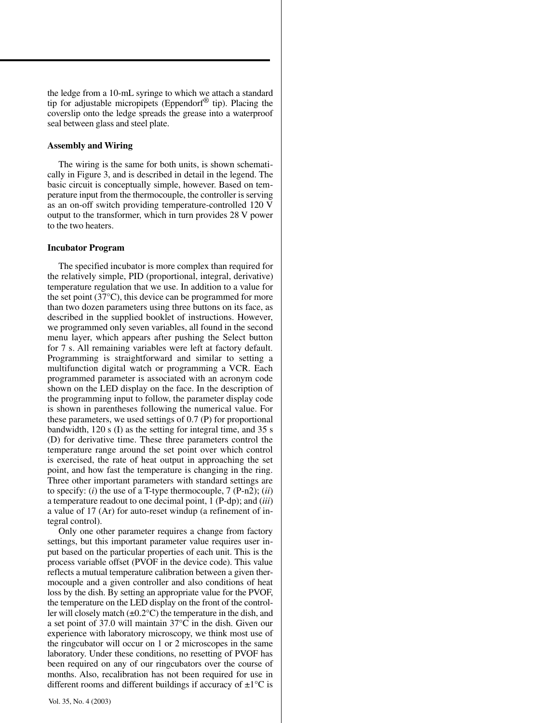the ledge from a 10-mL syringe to which we attach a standard tip for adjustable micropipets (Eppendorf® tip). Placing the coverslip onto the ledge spreads the grease into a waterproof seal between glass and steel plate.

### **Assembly and Wiring**

The wiring is the same for both units, is shown schematically in Figure 3, and is described in detail in the legend. The basic circuit is conceptually simple, however. Based on temperature input from the thermocouple, the controller is serving as an on-off switch providing temperature-controlled 120 V output to the transformer, which in turn provides 28 V power to the two heaters.

#### **Incubator Program**

The specified incubator is more complex than required for the relatively simple, PID (proportional, integral, derivative) temperature regulation that we use. In addition to a value for the set point (37°C), this device can be programmed for more than two dozen parameters using three buttons on its face, as described in the supplied booklet of instructions. However, we programmed only seven variables, all found in the second menu layer, which appears after pushing the Select button for 7 s. All remaining variables were left at factory default. Programming is straightforward and similar to setting a multifunction digital watch or programming a VCR. Each programmed parameter is associated with an acronym code shown on the LED display on the face. In the description of the programming input to follow, the parameter display code is shown in parentheses following the numerical value. For these parameters, we used settings of 0.7 (P) for proportional bandwidth, 120 s (I) as the setting for integral time, and 35 s (D) for derivative time. These three parameters control the temperature range around the set point over which control is exercised, the rate of heat output in approaching the set point, and how fast the temperature is changing in the ring. Three other important parameters with standard settings are to specify: (*i*) the use of a T-type thermocouple, 7 (P-n2); (*ii*) a temperature readout to one decimal point, 1 (P-dp); and (*iii*) a value of 17 (Ar) for auto-reset windup (a refinement of integral control).

Only one other parameter requires a change from factory settings, but this important parameter value requires user input based on the particular properties of each unit. This is the process variable offset (PVOF in the device code). This value reflects a mutual temperature calibration between a given thermocouple and a given controller and also conditions of heat loss by the dish. By setting an appropriate value for the PVOF, the temperature on the LED display on the front of the controller will closely match  $(\pm 0.2^{\circ}C)$  the temperature in the dish, and a set point of 37.0 will maintain 37°C in the dish. Given our experience with laboratory microscopy, we think most use of the ringcubator will occur on 1 or 2 microscopes in the same laboratory. Under these conditions, no resetting of PVOF has been required on any of our ringcubators over the course of months. Also, recalibration has not been required for use in different rooms and different buildings if accuracy of  $\pm 1$ °C is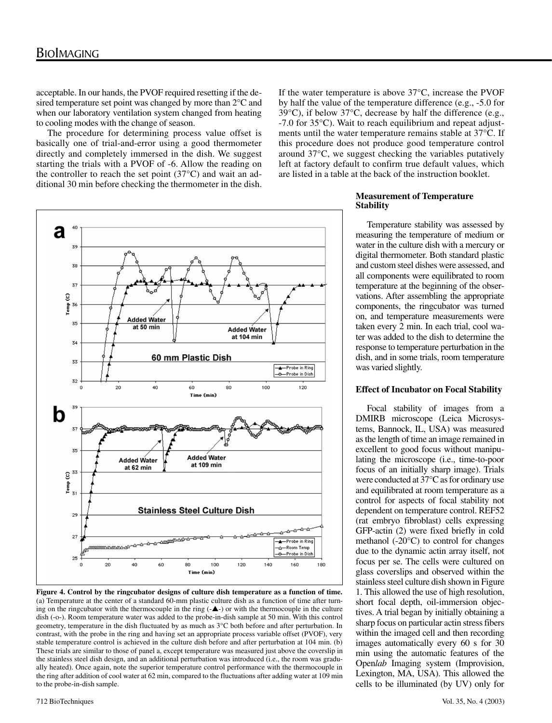acceptable. In our hands, the PVOF required resetting if the desired temperature set point was changed by more than 2°C and when our laboratory ventilation system changed from heating to cooling modes with the change of season.

The procedure for determining process value offset is basically one of trial-and-error using a good thermometer directly and completely immersed in the dish. We suggest starting the trials with a PVOF of -6. Allow the reading on the controller to reach the set point  $(37^{\circ}$ C) and wait an additional 30 min before checking the thermometer in the dish.

If the water temperature is above 37°C, increase the PVOF by half the value of the temperature difference (e.g., -5.0 for 39°C), if below 37°C, decrease by half the difference (e.g., -7.0 for 35°C). Wait to reach equilibrium and repeat adjustments until the water temperature remains stable at 37°C. If this procedure does not produce good temperature control around 37°C, we suggest checking the variables putatively left at factory default to confirm true default values, which are listed in a table at the back of the instruction booklet.



**Figure 4. Control by the ringcubator designs of culture dish temperature as a function of time.** (a) Temperature at the center of a standard 60-mm plastic culture dish as a function of time after turning on the ringcubator with the thermocouple in the ring  $(-\blacktriangle)$  or with the thermocouple in the culture dish (-o-). Room temperature water was added to the probe-in-dish sample at 50 min. With this control geometry, temperature in the dish fluctuated by as much as 3°C both before and after perturbation. In contrast, with the probe in the ring and having set an appropriate process variable offset (PVOF), very stable temperature control is achieved in the culture dish before and after perturbation at 104 min. (b) These trials are similar to those of panel a, except temperature was measured just above the coverslip in the stainless steel dish design, and an additional perturbation was introduced (i.e., the room was gradually heated). Once again, note the superior temperature control performance with the thermocouple in the ring after addition of cool water at 62 min, compared to the fluctuations after adding water at 109 min to the probe-in-dish sample.

### **Measurement of Temperature Stability**

Temperature stability was assessed by measuring the temperature of medium or water in the culture dish with a mercury or digital thermometer. Both standard plastic and custom steel dishes were assessed, and all components were equilibrated to room temperature at the beginning of the observations. After assembling the appropriate components, the ringcubator was turned on, and temperature measurements were taken every 2 min. In each trial, cool water was added to the dish to determine the response to temperature perturbation in the dish, and in some trials, room temperature was varied slightly.

# **Effect of Incubator on Focal Stability**

Focal stability of images from a DMIRB microscope (Leica Microsystems, Bannock, IL, USA) was measured as the length of time an image remained in excellent to good focus without manipulating the microscope (i.e., time-to-poor focus of an initially sharp image). Trials were conducted at 37°C as for ordinary use and equilibrated at room temperature as a control for aspects of focal stability not dependent on temperature control. REF52 (rat embryo fibroblast) cells expressing GFP-actin (2) were fixed briefly in cold methanol (-20°C) to control for changes due to the dynamic actin array itself, not focus per se. The cells were cultured on glass coverslips and observed within the stainless steel culture dish shown in Figure 1. This allowed the use of high resolution, short focal depth, oil-immersion objectives. A trial began by initially obtaining a sharp focus on particular actin stress fibers within the imaged cell and then recording images automatically every 60 s for 30 min using the automatic features of the Open*lab* Imaging system (Improvision, Lexington, MA, USA). This allowed the cells to be illuminated (by UV) only for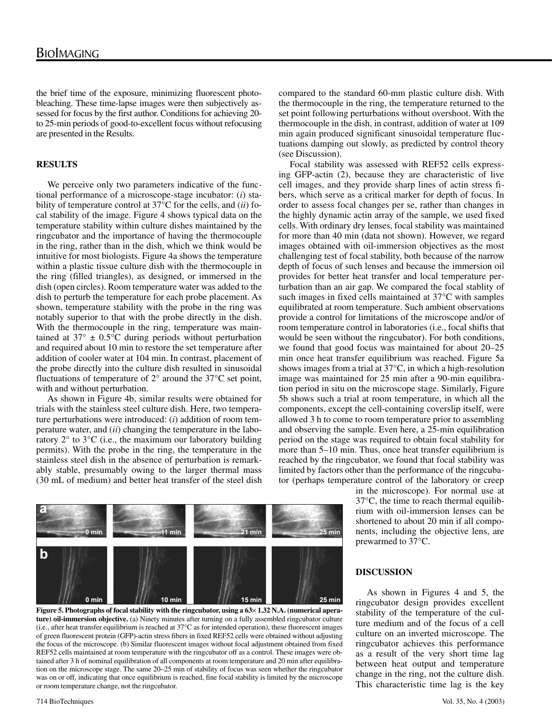the brief time of the exposure, minimizing fluorescent photobleaching. These time-lapse images were then subjectively assessed for focus by the first author. Conditions for achieving 20 to 25-min periods of good-to-excellent focus without refocusing are presented in the Results.

# **RESULTS**

We perceive only two parameters indicative of the functional performance of a microscope-stage incubator: (*i*) stability of temperature control at 37°C for the cells, and (*ii*) focal stability of the image. Figure 4 shows typical data on the temperature stability within culture dishes maintained by the ringcubator and the importance of having the thermocouple in the ring, rather than in the dish, which we think would be intuitive for most biologists. Figure 4a shows the temperature within a plastic tissue culture dish with the thermocouple in the ring (filled triangles), as designed, or immersed in the dish (open circles). Room temperature water was added to the dish to perturb the temperature for each probe placement. As shown, temperature stability with the probe in the ring was notably superior to that with the probe directly in the dish. With the thermocouple in the ring, temperature was maintained at  $37^{\circ} \pm 0.5^{\circ}$ C during periods without perturbation and required about 10 min to restore the set temperature after addition of cooler water at 104 min. In contrast, placement of the probe directly into the culture dish resulted in sinusoidal fluctuations of temperature of  $2^{\circ}$  around the 37 $^{\circ}$ C set point, with and without perturbation.

As shown in Figure 4b, similar results were obtained for trials with the stainless steel culture dish. Here, two temperature perturbations were introduced: (*i*) addition of room temperature water, and (*ii*) changing the temperature in the laboratory 2° to 3°C (i.e., the maximum our laboratory building permits). With the probe in the ring, the temperature in the stainless steel dish in the absence of perturbation is remarkably stable, presumably owing to the larger thermal mass (30 mL of medium) and better heat transfer of the steel dish

compared to the standard 60-mm plastic culture dish. With the thermocouple in the ring, the temperature returned to the set point following perturbations without overshoot. With the thermocouple in the dish, in contrast, addition of water at 109 min again produced significant sinusoidal temperature fluctuations damping out slowly, as predicted by control theory (see Discussion).

Focal stability was assessed with REF52 cells expressing GFP-actin (2), because they are characteristic of live cell images, and they provide sharp lines of actin stress fibers, which serve as a critical marker for depth of focus. In order to assess focal changes per se, rather than changes in the highly dynamic actin array of the sample, we used fixed cells. With ordinary dry lenses, focal stability was maintained for more than 40 min (data not shown). However, we regard images obtained with oil-immersion objectives as the most challenging test of focal stability, both because of the narrow depth of focus of such lenses and because the immersion oil provides for better heat transfer and local temperature perturbation than an air gap. We compared the focal stablity of such images in fixed cells maintained at 37°C with samples equilibrated at room temperature. Such ambient observations provide a control for limitations of the microscope and/or of room temperature control in laboratories (i.e., focal shifts that would be seen without the ringcubator). For both conditions, we found that good focus was maintained for about 20–25 min once heat transfer equilibrium was reached. Figure 5a shows images from a trial at 37°C, in which a high-resolution image was maintained for 25 min after a 90-min equilibration period in situ on the microscope stage. Similarly, Figure 5b shows such a trial at room temperature, in which all the components, except the cell-containing coverslip itself, were allowed 3 h to come to room temperature prior to assembling and observing the sample. Even here, a 25-min equilibration period on the stage was required to obtain focal stability for more than 5–10 min. Thus, once heat transfer equilibrium is reached by the ringcubator, we found that focal stability was limited by factors other than the performance of the ringcubator (perhaps temperature control of the laboratory or creep





in the microscope). For normal use at 37°C, the time to reach thermal equilibrium with oil-immersion lenses can be shortened to about 20 min if all components, including the objective lens, are prewarmed to 37°C.

#### **DISCUSSION**

As shown in Figures 4 and 5, the ringcubator design provides excellent stability of the temperature of the culture medium and of the focus of a cell culture on an inverted microscope. The ringcubator achieves this performance as a result of the very short time lag between heat output and temperature change in the ring, not the culture dish. This characteristic time lag is the key